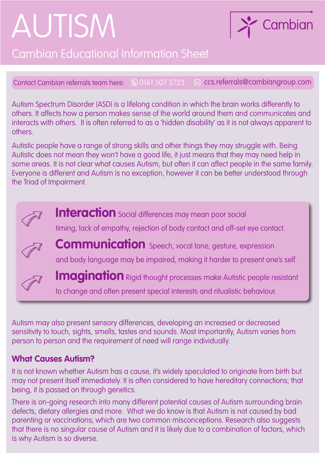# AUTISM



# Cambian Educational Information Sheet

Contact Cambian referrals team here: (0) 0161 507 3723  $\boxtimes$  ccs.referrals@cambiangroup.com

Autism Spectrum Disorder (ASD) is a lifelong condition in which the brain works differently to others. It affects how a person makes sense of the world around them and communicates and interacts with others. It is often referred to as a 'hidden disability' as it is not always apparent to others.

Autistic people have a range of strong skills and other things they may struggle with. Being Autistic does not mean they won't have a good life, it just means that they may need help in some areas. It is not clear what causes Autism, but often it can affect people in the same family. Everyone is different and Autism is no exception, however it can be better understood through the Triad of Impairment.

**Interaction** Social differences may mean poor social timing, lack of empathy, rejection of body contact and off-set eye contact. **Communication** Speech, vocal tone, gesture, expression and body language may be impaired, making it harder to present one's self.



**Imagination** Rigid thought processes make Autistic people resistant to change and often present special interests and ritualistic behaviour.

Autism may also present sensory differences, developing an increased or decreased sensitivity to touch, sights, smells, tastes and sounds. Most importantly, Autism varies from person to person and the requirement of need will range individually.

## **What Causes Autism?**

It is not known whether Autism has a cause, it's widely speculated to originate from birth but may not present itself immediately. It is often considered to have hereditary connections; that being, it is passed on through genetics.

There is on-going research into many different potential causes of Autism surrounding brain defects, dietary allergies and more. What we do know is that Autism is not caused by bad parenting or vaccinations; which are two common misconceptions. Research also suggests that there is no singular cause of Autism and it is likely due to a combination of factors, which is why Autism is so diverse.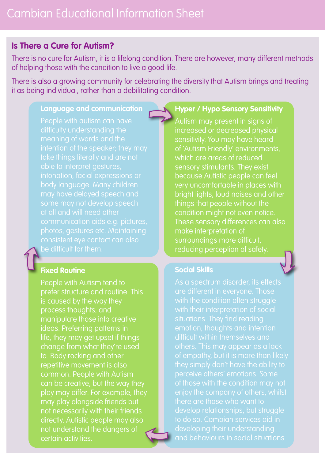## **Is There a Cure for Autism?**

There is no cure for Autism, it is a lifelong condition. There are however, many different methods of helping those with the condition to live a good life.

There is also a growing community for celebrating the diversity that Autism brings and treating it as being individual, rather than a debilitating condition.

#### **Language and communication**

People with autism can have difficulty understanding the intention of the speaker; they may take things literally and are not able to interpret gestures, intonation, facial expressions or body language. Many children may have delayed speech and some may not develop speech at all and will need other communication aids e.g. pictures, photos, gestures etc. Maintaining consistent eye contact can also be difficult for them.

#### **Fixed Routine**

People with Autism tend to prefer structure and routine. This is caused by the way they process thoughts, and manipulate those into creative ideas. Preferring patterns in life, they may get upset if things change from what they're used to. Body rocking and other repetitive movement is also common. People with Autism can be creative, but the way they play may differ. For example, they may play alongside friends but not necessarily with their friends directly. Autistic people may also not understand the dangers of certain activities.

### **Hyper / Hypo Sensory Sensitivity**

Autism may present in signs of increased or decreased physical sensitivity. You may have heard of 'Autism Friendly' environments, which are areas of reduced sensory stimulants. They exist because Autistic people can feel very uncomfortable in places with bright lights, loud noises and other things that people without the condition might not even notice. These sensory differences can also make interpretation of surroundings more difficult, reducing perception of safety.

#### **Social Skills**

As a spectrum disorder, its effects are different in everyone. Those with the condition often struggle with their interpretation of social situations. They find reading emotion, thoughts and intention difficult within themselves and others. This may appear as a lack of empathy, but it is more than likely they simply don't have the ability to perceive others' emotions. Some of those with the condition may not enjoy the company of others, whilst develop relationships, but struggle to do so. Cambian services aid in developing their understanding and behaviours in social situations.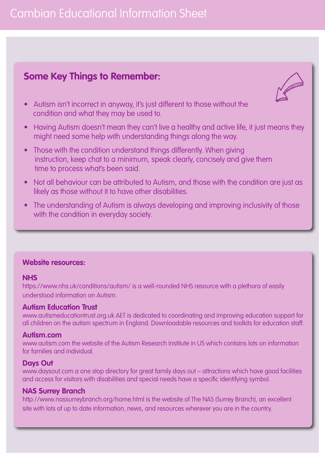# Cambian Educational Information Sheet

# **Some Key Things to Remember:**



- Autism isn't incorrect in anyway, it's just different to those without the condition and what they may be used to.
- Having Autism doesn't mean they can't live a healthy and active life, it just means they might need some help with understanding things along the way.
- Those with the condition understand things differently. When giving instruction, keep chat to a minimum, speak clearly, concisely and give them time to process what's been said.
- Not all behaviour can be attributed to Autism, and those with the condition are just as likely as those without it to have other disabilities.
- The understanding of Autism is always developing and improving inclusivity of those with the condition in everyday society.

#### **Website resources:**

#### **NHS**

https://www.nhs.uk/conditions/autism/ is a well-rounded NHS resource with a plethora of easily understood information on Autism.

#### **Autism Education Trust**

www.autismeducationtrust.org.uk AET is dedicated to coordinating and improving education support for all children on the autism spectrum in England. Downloadable resources and toolkits for education staff.

#### **Autism.com**

www.autism.com the website of the Autism Research Institute in US which contains lots on information for families and individual.

#### **Days Out**

www.daysout.com a one stop directory for great family days out – attractions which have good facilities and access for visitors with disabilities and special needs have a specific identifying symbol.

#### **NAS Surrey Branch**

http://www.nassurreybranch.org/home.html is the website of The NAS (Surrey Branch), an excellent site with lots of up to date information, news, and resources wherever you are in the country.